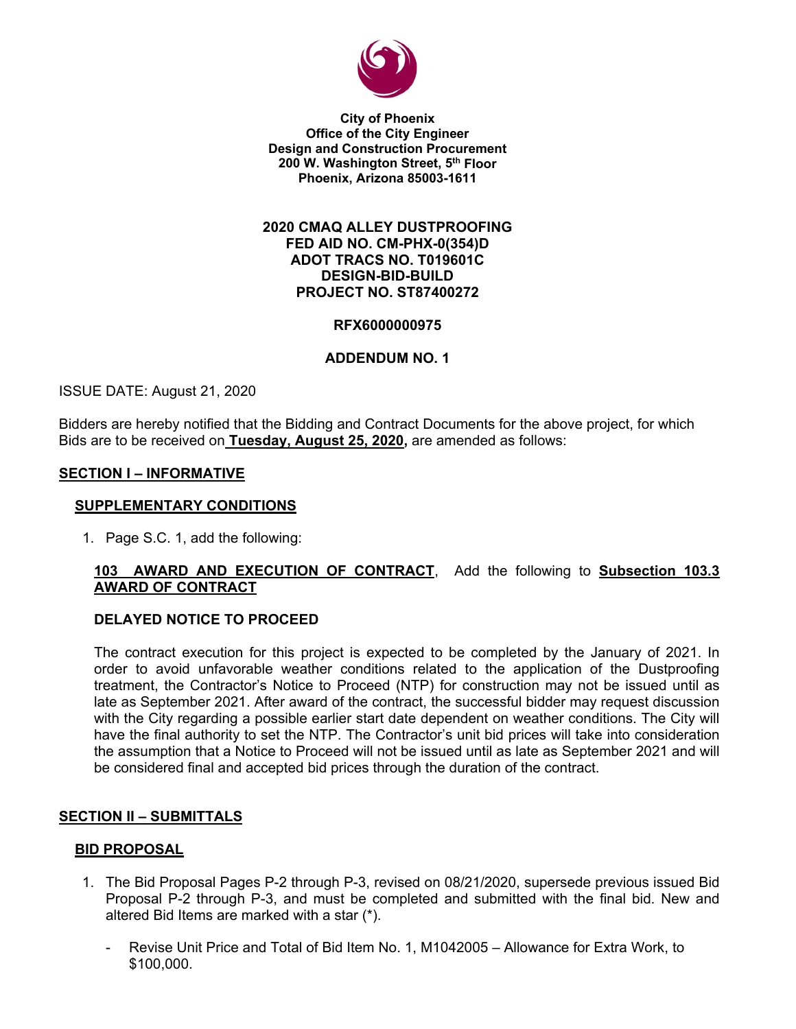

**City of Phoenix Office of the City Engineer Design and Construction Procurement 200 W. Washington Street, 5th Floor Phoenix, Arizona 85003-1611** 

### **2020 CMAQ ALLEY DUSTPROOFING FED AID NO. CM-PHX-0(354)D ADOT TRACS NO. T019601C DESIGN-BID-BUILD PROJECT NO. ST87400272**

### **RFX6000000975**

### **ADDENDUM NO. 1**

ISSUE DATE: August 21, 2020

Bidders are hereby notified that the Bidding and Contract Documents for the above project, for which Bids are to be received on **Tuesday, August 25, 2020,** are amended as follows:

#### **SECTION I – INFORMATIVE**

#### **SUPPLEMENTARY CONDITIONS**

1. Page S.C. 1, add the following:

## **103 AWARD AND EXECUTION OF CONTRACT**, Add the following to **Subsection 103.3 AWARD OF CONTRACT**

#### **DELAYED NOTICE TO PROCEED**

The contract execution for this project is expected to be completed by the January of 2021. In order to avoid unfavorable weather conditions related to the application of the Dustproofing treatment, the Contractor's Notice to Proceed (NTP) for construction may not be issued until as late as September 2021. After award of the contract, the successful bidder may request discussion with the City regarding a possible earlier start date dependent on weather conditions. The City will have the final authority to set the NTP. The Contractor's unit bid prices will take into consideration the assumption that a Notice to Proceed will not be issued until as late as September 2021 and will be considered final and accepted bid prices through the duration of the contract.

#### **SECTION II – SUBMITTALS**

#### **BID PROPOSAL**

- 1. The Bid Proposal Pages P-2 through P-3, revised on 08/21/2020, supersede previous issued Bid Proposal P-2 through P-3, and must be completed and submitted with the final bid. New and altered Bid Items are marked with a star (\*).
	- Revise Unit Price and Total of Bid Item No. 1, M1042005 Allowance for Extra Work, to \$100,000.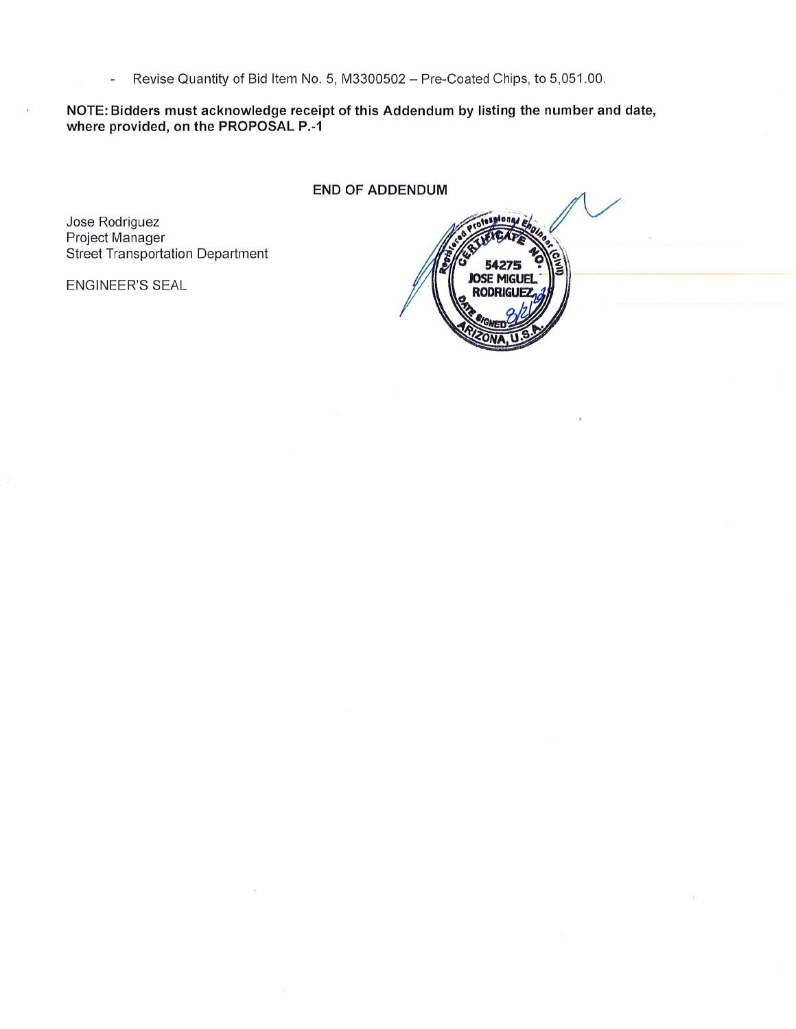Revise Quantity of Bid Item No. 5, M3300502 - Pre-Coated Chips, to 5,051.00.  $\overline{a}$ 

NOTE: Bidders must acknowledge receipt of this Addendum by listing the number and date, where provided, on the PROPOSAL P.-1

**END OF ADDENDUM** 

Jose Rodriguez Project Manager Street Transportation Department

ENGINEER'S SEAL

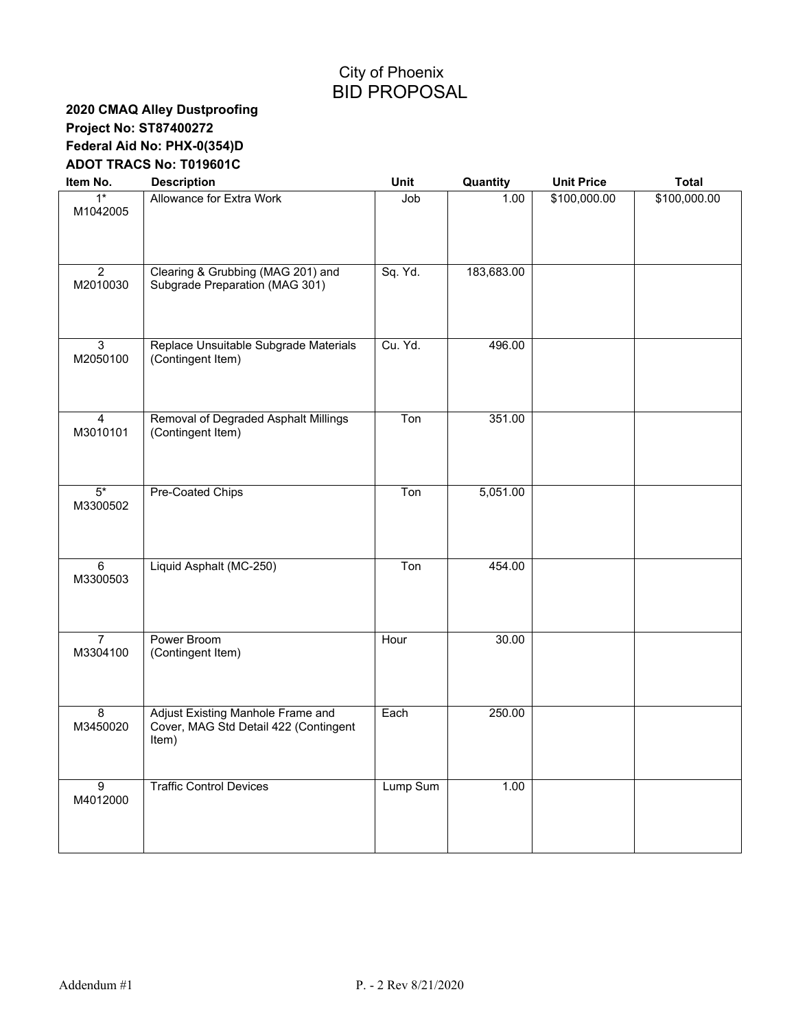# City of Phoenix BID PROPOSAL

# **2020 CMAQ Alley Dustproofing Project No: ST87400272 Federal Aid No: PHX-0(354)D ADOT TRACS No: T019601C**

| Item No.                   | <b>Description</b>                                                                  | Unit     | Quantity   | <b>Unit Price</b> | <b>Total</b> |
|----------------------------|-------------------------------------------------------------------------------------|----------|------------|-------------------|--------------|
| $1*$<br>M1042005           | Allowance for Extra Work                                                            | Job      | 1.00       | \$100,000.00      | \$100,000.00 |
| $\overline{2}$<br>M2010030 | Clearing & Grubbing (MAG 201) and<br>Subgrade Preparation (MAG 301)                 | Sq. Yd.  | 183,683.00 |                   |              |
| $\overline{3}$<br>M2050100 | Replace Unsuitable Subgrade Materials<br>(Contingent Item)                          | Cu. Yd.  | 496.00     |                   |              |
| $\overline{4}$<br>M3010101 | Removal of Degraded Asphalt Millings<br>(Contingent Item)                           | Ton      | 351.00     |                   |              |
| $5*$<br>M3300502           | <b>Pre-Coated Chips</b>                                                             | Ton      | 5,051.00   |                   |              |
| 6<br>M3300503              | Liquid Asphalt (MC-250)                                                             | Ton      | 454.00     |                   |              |
| $\overline{7}$<br>M3304100 | Power Broom<br>(Contingent Item)                                                    | Hour     | 30.00      |                   |              |
| $\overline{8}$<br>M3450020 | Adjust Existing Manhole Frame and<br>Cover, MAG Std Detail 422 (Contingent<br>Item) | Each     | 250.00     |                   |              |
| $\overline{9}$<br>M4012000 | <b>Traffic Control Devices</b>                                                      | Lump Sum | 1.00       |                   |              |